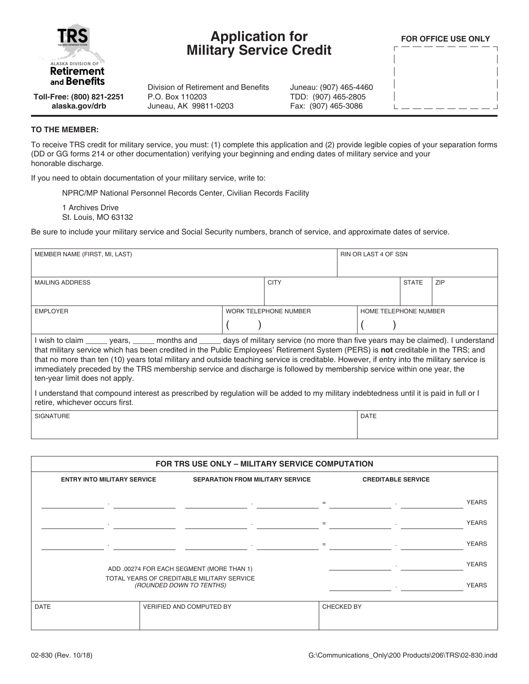

## **Application for Military Service Credit**

**FOR OFFICE USE ONLY**

**Toll-Free: (800) 821-2251 alaska.gov/drb**

## **TO THE MEMBER:**

To receive TRS credit for military service, you must: (1) complete this application and (2) provide legible copies of your separation forms (DD or GG forms 214 or other documentation) verifying your beginning and ending dates of military service and your honorable discharge.

Juneau: (907) 465-4460 TDD: (907) 465-2805 Fax: (907) 465-3086

If you need to obtain documentation of your military service, write to:

NPRC/MP National Personnel Records Center, Civilian Records Facility

P.O. Box 110203 Juneau, AK 99811-0203

Division of Retirement and Benefits

1 Archives Drive St. Louis, MO 63132

Be sure to include your military service and Social Security numbers, branch of service, and approximate dates of service.

| MEMBER NAME (FIRST, MI, LAST)                                                                                                                                                                                                                                                                                                                                                                                                                                                                                                                                                                                                                                                                                                         |  |                              |  | <b>RIN OR LAST 4 OF SSN</b> |                       |            |  |
|---------------------------------------------------------------------------------------------------------------------------------------------------------------------------------------------------------------------------------------------------------------------------------------------------------------------------------------------------------------------------------------------------------------------------------------------------------------------------------------------------------------------------------------------------------------------------------------------------------------------------------------------------------------------------------------------------------------------------------------|--|------------------------------|--|-----------------------------|-----------------------|------------|--|
| <b>MAILING ADDRESS</b>                                                                                                                                                                                                                                                                                                                                                                                                                                                                                                                                                                                                                                                                                                                |  | <b>CITY</b>                  |  |                             | <b>STATE</b>          | <b>ZIP</b> |  |
| <b>EMPLOYER</b>                                                                                                                                                                                                                                                                                                                                                                                                                                                                                                                                                                                                                                                                                                                       |  | <b>WORK TELEPHONE NUMBER</b> |  |                             | HOME TELEPHONE NUMBER |            |  |
| I wish to claim _____ years, _____ months and _____ days of military service (no more than five years may be claimed). I understand<br>that military service which has been credited in the Public Employees' Retirement System (PERS) is <b>not</b> creditable in the TRS; and<br>that no more than ten (10) years total military and outside teaching service is creditable. However, if entry into the military service is<br>immediately preceded by the TRS membership service and discharge is followed by membership service within one year, the<br>ten-year limit does not apply.<br>I understand that compound interest as prescribed by regulation will be added to my military indebtedness until it is paid in full or I |  |                              |  |                             |                       |            |  |
| retire, whichever occurs first.<br><b>SIGNATURE</b>                                                                                                                                                                                                                                                                                                                                                                                                                                                                                                                                                                                                                                                                                   |  |                              |  | <b>DATE</b>                 |                       |            |  |
|                                                                                                                                                                                                                                                                                                                                                                                                                                                                                                                                                                                                                                                                                                                                       |  |                              |  |                             |                       |            |  |

|             | FOR TRS USE ONLY - MILITARY SERVICE COMPUTATION                               |                                                                        |            |                           |              |  |  |
|-------------|-------------------------------------------------------------------------------|------------------------------------------------------------------------|------------|---------------------------|--------------|--|--|
|             | <b>SEPARATION FROM MILITARY SERVICE</b><br><b>ENTRY INTO MILITARY SERVICE</b> |                                                                        |            | <b>CREDITABLE SERVICE</b> |              |  |  |
|             |                                                                               |                                                                        |            | $\sim$                    | <b>YEARS</b> |  |  |
|             | $\sim$                                                                        | $\sim$                                                                 | $=$        | $\sim$                    | <b>YEARS</b> |  |  |
|             |                                                                               |                                                                        |            |                           | <b>YEARS</b> |  |  |
|             |                                                                               | ADD .00274 FOR EACH SEGMENT (MORE THAN 1)                              |            |                           | <b>YEARS</b> |  |  |
|             |                                                                               | TOTAL YEARS OF CREDITABLE MILITARY SERVICE<br>(ROUNDED DOWN TO TENTHS) |            |                           | <b>YEARS</b> |  |  |
| <b>DATE</b> |                                                                               | VERIFIED AND COMPUTED BY                                               | CHECKED BY |                           |              |  |  |
|             |                                                                               |                                                                        |            |                           |              |  |  |